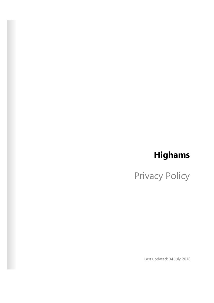# **Highams**

Privacy Policy

Last updated: 04 July 2018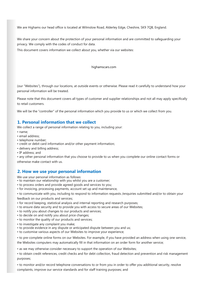We are Highams our head office is located at Wilmslow Road, Alderley Edge, Cheshire, SK9 7QB, England.

We share your concern about the protection of your personal information and are committed to safeguarding your privacy. We comply with the codes of conduct for data.

This document covers information we collect about you, whether via our websites:

highamscars.com

(our "Websites"), through our locations, at outside events or otherwise. Please read it carefully to understand how your personal information will be treated.

Please note that this document covers all types of customer and supplier relationships and not all may apply specifically to retail customers.

We will be the "controller" of the personal information which you provide to us or which we collect from you.

# **1. Personal information that we collect**

We collect a range of personal information relating to you, including your:

- name;
- email address;
- telephone number;
- credit or debit card information and/or other payment information;
- delivery and billing address;
- IP address; and

• any other personal information that you choose to provide to us when you complete our online contact forms or otherwise make contact with us.

## **2. How we use your personal information**

We use your personal information as follows:

- to maintain our relationship with you whilst you are a customer;
- to process orders and provide agreed goods and services to you;
- for invoicing, processing payments, account set up and maintenance,

• to communicate with you, including to respond to information requests /enquiries submitted and/or to obtain your feedback on our products and services;

- for record keeping, statistical analysis and internal reporting and research purposes;
- to ensure data security and to provide you with access to secure areas of our Websites;
- to notify you about changes to our products and services;
- to decide on and notify you about price changes;
- to monitor the quality of our products and services;
- to investigate any complaint you make;
- to provide evidence in any dispute or anticipated dispute between you and us;
- to customise various aspects of our Websites to improve your experience;

• to pre-complete online forms on our Websites. For example, if you have provided an address when using one service,

the Websites computers may automatically fill in that information on an order form for another service;

• as we may otherwise consider necessary to support the operation of our Websites;

• to obtain credit references, credit checks and for debt collection, fraud detection and prevention and risk management purposes;

• to monitor and/or record telephone conversations to or from you in order to offer you additional security, resolve complaints, improve our service standards and for staff training purposes; and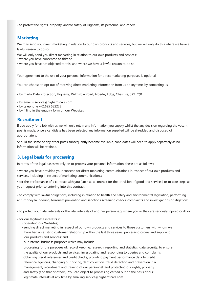• to protect the rights, property, and/or safety of Highams, its personnel and others.

# **Marketing**

We may send you direct marketing in relation to our own products and services, but we will only do this where we have a lawful reason to do so.

We will only send you direct marketing in relation to our own products and services:

• where you have consented to this; or

• where you have not objected to this, and where we have a lawful reason to do so.

Your agreement to the use of your personal information for direct marketing purposes is optional.

You can choose to opt out of receiving direct marketing information from us at any time, by contacting us:

• by mail – Data Protection, Highams, Wilmslow Road, Alderley Edge, Cheshire, SK9 7QB

- [by email service@highamscars.com](mailto:sales@wrights-motors.co.uk)
- by telephone 01625 582223
- by filling in the enquiry form on our Websites.

# **Recruitment**

If you apply for a job with us we will only retain any information you supply whilst the any decision regarding the vacant post is made, once a candidate has been selected any information supplied will be shredded and disposed of appropriately.

Should the same or any other posts subsequently become available, candidates will need to apply separately as no information will be retained.

# **3. Legal basis for processing**

In terms of the legal bases we rely on to process your personal information, these are as follows:

• where you have provided your consent: for direct marketing communications in respect of our own products and services, including in respect of marketing communications;

• for the performance of a contract with you (such as a contract for the provision of good and services) or to take steps at your request prior to entering into this contract;

• to comply with lawful obligations, including in relation to health and safety and environmental legislation, performing anti-money laundering, terrorism prevention and sanctions screening checks, complaints and investigations or litigation;

• to protect your vital interests or the vital interests of another person, e.g. where you or they are seriously injured or ill, or

- for our legitimate interests in:
	- operating our Websites;
	- sending direct marketing in respect of our own products and services to those customers with whom we have had an existing customer relationship within the last three years: processing orders and supplying our products and services; and
	- our internal business purposes which may include

 processing for the purposes of: record keeping, research, reporting and statistics, data security, to ensure the quality of our products and services, investigating and responding to queries and complaints, obtaining credit references and credit checks, providing payment performance data to credit reference agencies, changing our pricing, debt collection, fraud detection and prevention, risk management, recruitment and training of our personnel, and protecting our rights, property and safety (and that of others). You can object to processing carried out on the basis of our legitimate interests at any time by emailing service@highamscars.com.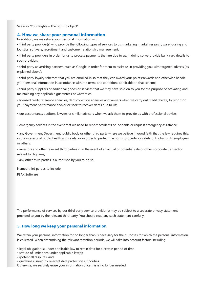See also "Your Rights – The right to object".

## **4. How we share your personal information**

In addition, we may share your personal information with:

• third party provider(s) who provide the following types of services to us: marketing, market research, warehousing and logistics, software, recruitment and customer relationship management;

• third party providers in order for us to process payments that are due to us, in doing so we provide bank card details to such providers;

• third party advertising partners, such as Google in order for them to assist us in providing you with targeted adverts (as explained above);

• third party loyalty schemes that you are enrolled in so that they can award your points/rewards and otherwise handle your personal information in accordance with the terms and conditions applicable to that scheme;

• third party suppliers of additional goods or services that we may have sold on to you for the purpose of activating and maintaining any applicable guarantees or warranties.

• licensed credit reference agencies, debt collection agencies and lawyers when we carry out credit checks, to report on your payment performance and/or or seek to recover debts due to us;

• our accountants, auditors, lawyers or similar advisers when we ask them to provide us with professional advice;

• emergency services in the event that we need to report accidents or incidents or request emergency assistance;

• any Government Department, public body or other third party where we believe in good faith that the law requires this; in the interests of public health and safety; or in order to protect the rights, property, or safety of Highams, its employees or others;

• investors and other relevant third parties in in the event of an actual or potential sale or other corporate transaction related to Highams;

• any other third parties, if authorised by you to do so.

PEAK Software Named third parties to include;

The performance of services by our third party service provider(s) may be subject to a separate privacy statement provided to you by the relevant third party. You should read any such statement carefully.

## **5. How long we keep your personal information**

We retain your personal information for no longer than is necessary for the purposes for which the personal information is collected. When determining the relevant retention periods, we will take into account factors including:

- legal obligation(s) under applicable law to retain data for a certain period of time
- statute of limitations under applicable law(s);
- (potential) disputes, and
- guidelines issued by relevant data protection authorities.

Otherwise, we securely erase your information once this is no longer needed.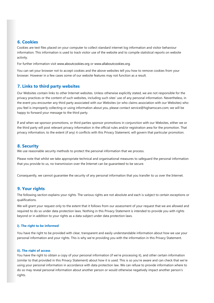# **6. Cookies**

Cookies are text files placed on your computer to collect standard internet log information and visitor behaviour information. This information is used to track visitor use of the website and to compile statistical reports on website activity.

For further information visit www.aboutcookies.org or www.allaboutcookies.org.

You can set your browser not to accept cookies and the above websites tell you how to remove cookies from your browser. However in a few cases some of our website features may not function as a result.

# **7. Links to third party websites**

Our Websites contain links to other Internet websites. Unless otherwise explicitly stated, we are not responsible for the privacy practices or the content of such websites, including such sites' use of any personal information. Nevertheless, in the event you encounter any third party associated with our Websites (or who claims association with our Websites) who you feel is improperly collecting or using information about you, please contact service@highamscars.com; we will be happy to forward your message to the third party.

If and when we sponsor promotions, or third parties sponsor promotions in conjunction with our Websites, either we or the third party will post relevant privacy information in the official rules and/or registration area for the promotion. That privacy information, to the extent (if any) it conflicts with this Privacy Statement, will govern that particular promotion.

# **8. Security**

We use reasonable security methods to protect the personal information that we process.

Please note that whilst we take appropriate technical and organisational measures to safeguard the personal information that you provide to us, no transmission over the Internet can be guaranteed to be secure.

Consequently, we cannot guarantee the security of any personal information that you transfer to us over the Internet.

# **9. Your rights**

The following section explains your rights. The various rights are not absolute and each is subject to certain exceptions or qualifications.

We will grant your request only to the extent that it follows from our assessment of your request that we are allowed and required to do so under data protection laws. Nothing in this Privacy Statement is intended to provide you with rights beyond or in addition to your rights as a data subject under data protection laws.

## **i). The right to be informed**

You have the right to be provided with clear, transparent and easily understandable information about how we use your personal information and your rights. This is why we're providing you with the information in this Privacy Statement.

#### **ii). The right of access**

You have the right to obtain a copy of your personal information (if we're processing it), and other certain information (similar to that provided in this Privacy Statement) about how it is used. This is so you're aware and can check that we're using your personal information in accordance with data protection law. We can refuse to provide information where to do so may reveal personal information about another person or would otherwise negatively impact another person's rights.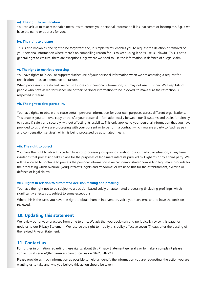#### **iii). The right to rectification**

You can ask us to take reasonable measures to correct your personal information if it's inaccurate or incomplete. E.g. if we have the name or address for you.

#### **iv). The right to erasure**

This is also known as 'the right to be forgotten' and, in simple terms, enables you to request the deletion or removal of your personal information where there's no compelling reason for us to keep using it or its use is unlawful. This is not a general right to erasure; there are exceptions, e.g. where we need to use the information in defence of a legal claim.

#### **v). The right to restrict processing**

You have rights to 'block' or suppress further use of your personal information when we are assessing a request for rectification or as an alternative to erasure.

When processing is restricted, we can still store your personal information, but may not use it further. We keep lists of people who have asked for further use of their personal information to be 'blocked' to make sure the restriction is respected in future.

#### **vi). The right to data portability**

You have rights to obtain and reuse certain personal information for your own purposes across different organisations. This enables you to move, copy or transfer your personal information easily between our IT systems and theirs (or directly to yourself) safely and securely, without affecting its usability. This only applies to your personal information that you have provided to us that we are processing with your consent or to perform a contract which you are a party to (such as pay and compensation services), which is being processed by automated means.

#### **vii). The right to object**

You have the right to object to certain types of processing, on grounds relating to your particular situation, at any time insofar as that processing takes place for the purposes of legitimate interests pursued by Highams or by a third party. We will be allowed to continue to process the personal information if we can demonstrate "compelling legitimate grounds for the processing which override [your] interests, rights and freedoms" or we need this for the establishment, exercise or defence of legal claims.

#### **viii). Rights in relation to automated decision making and profiling.**

You have the right not to be subject to a decision based solely on automated processing (including profiling), which significantly affects you, subject to some exceptions.

Where this is the case, you have the right to obtain human intervention, voice your concerns and to have the decision reviewed.

### **10. Updating this statement**

We review our privacy practices from time to time. We ask that you bookmark and periodically review this page for updates to our Privacy Statement. We reserve the right to modify this policy effective seven (7) days after the posting of the revised Privacy Statement.

# **11. Contact us**

For further information regarding these rights, about this Privacy Statement generally or to make a complaint please contact us at service@highamscars.com or call us on 01625 582223.

Please provide as much information as possible to help us identify the information you are requesting, the action you are wanting us to take and why you believe this action should be taken.